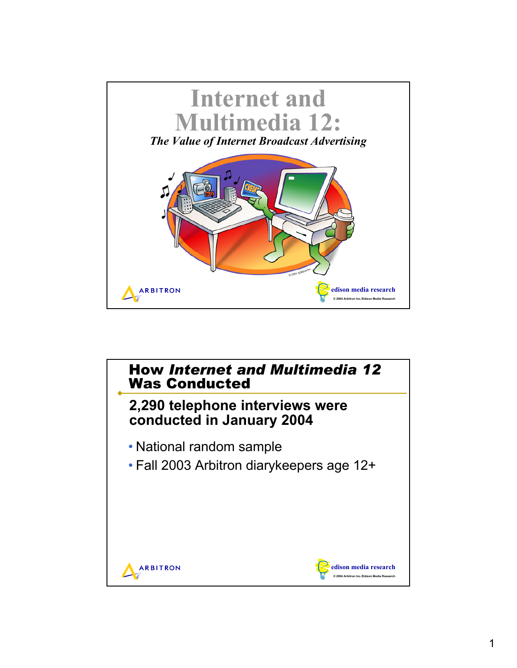

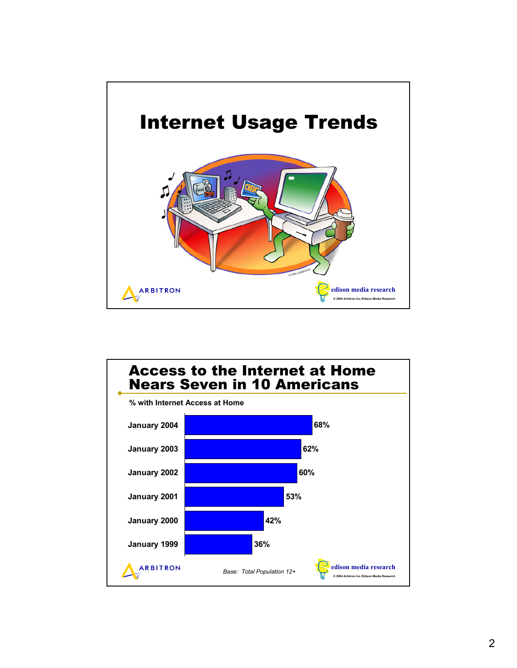

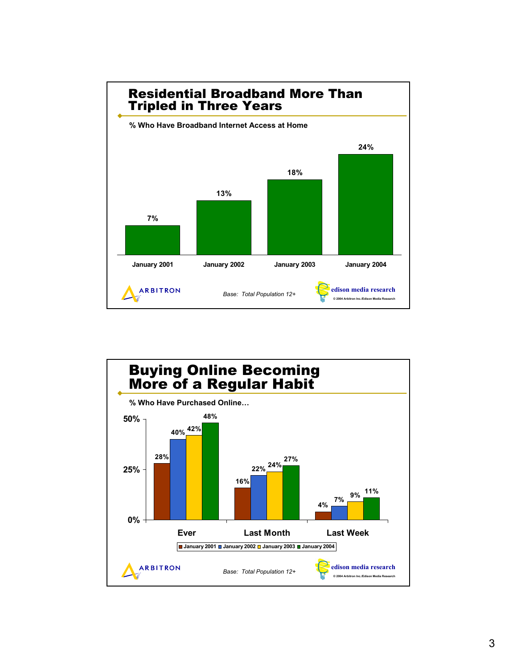

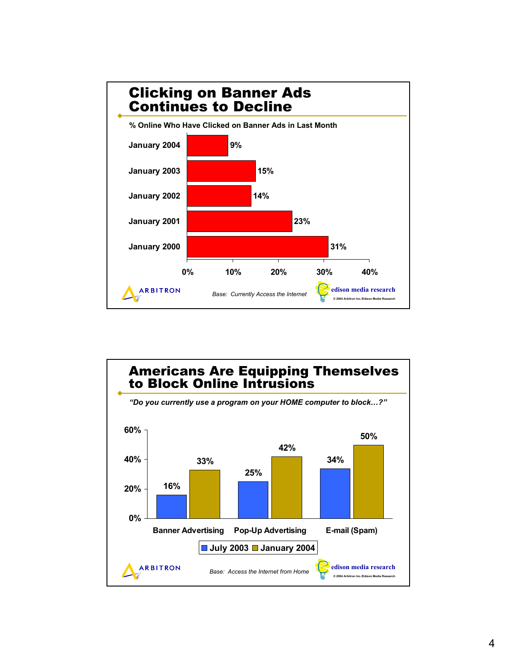

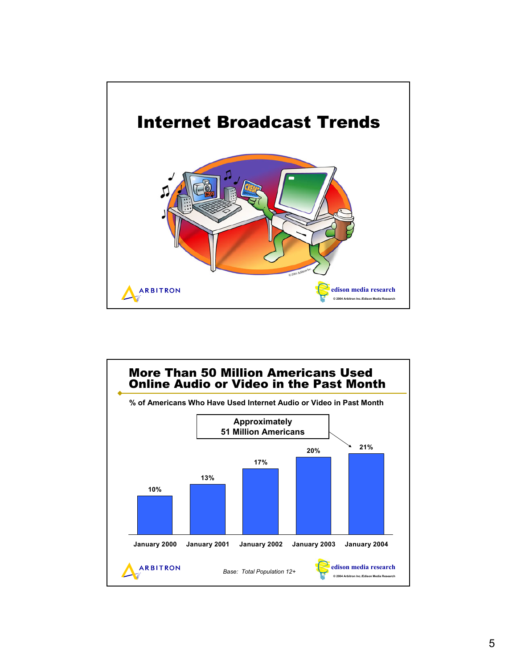

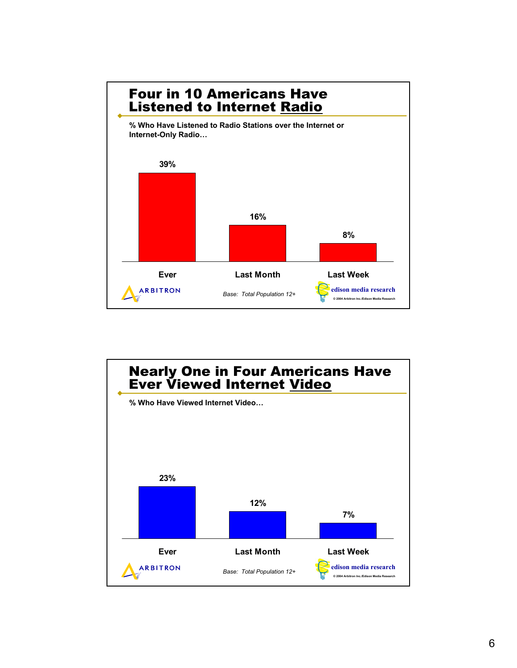

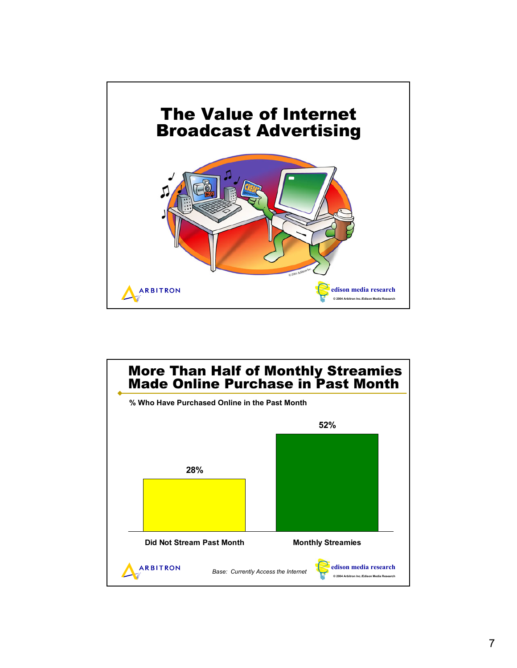

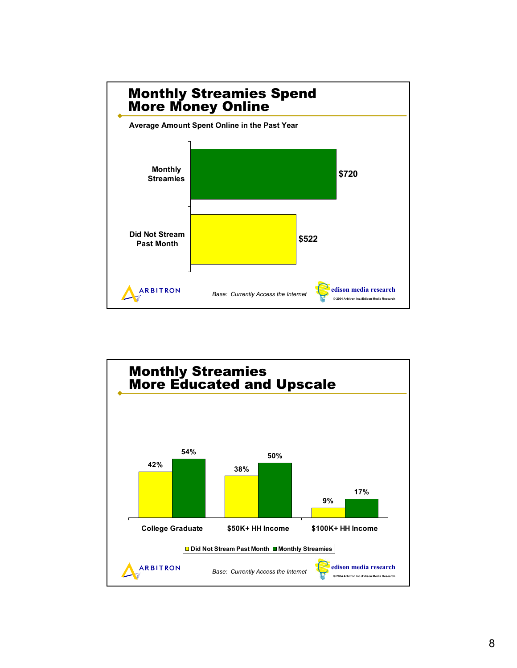

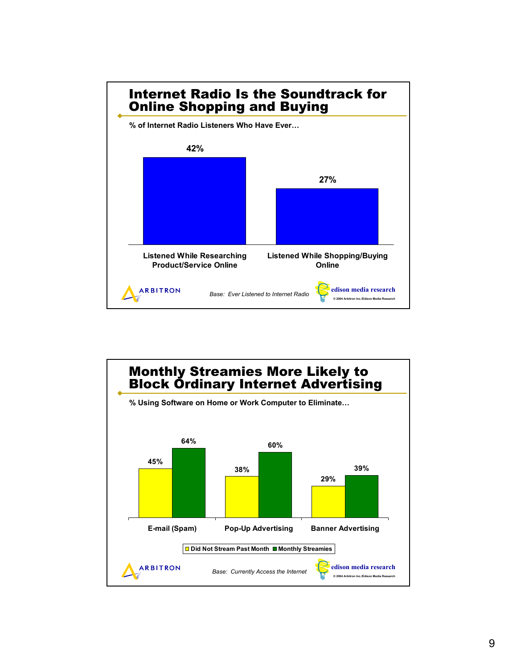

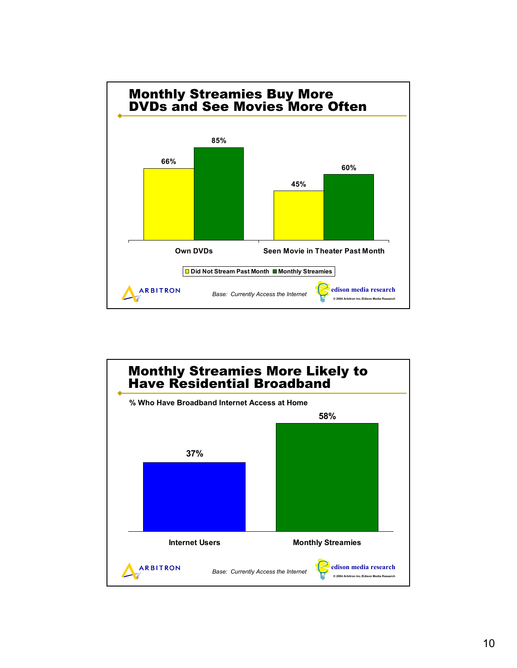

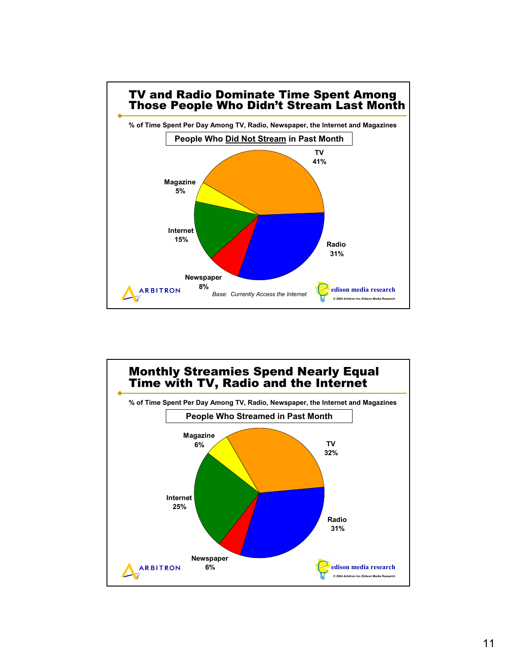

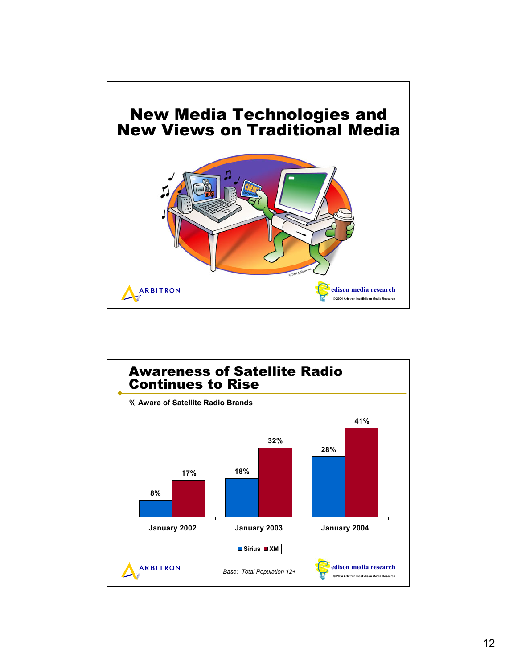

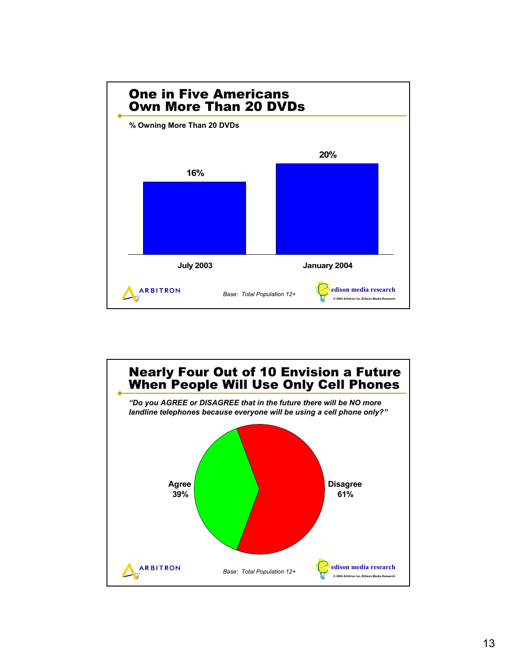

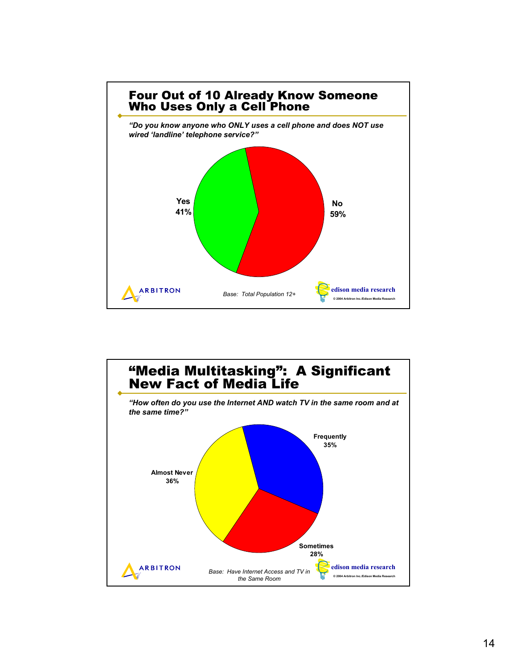

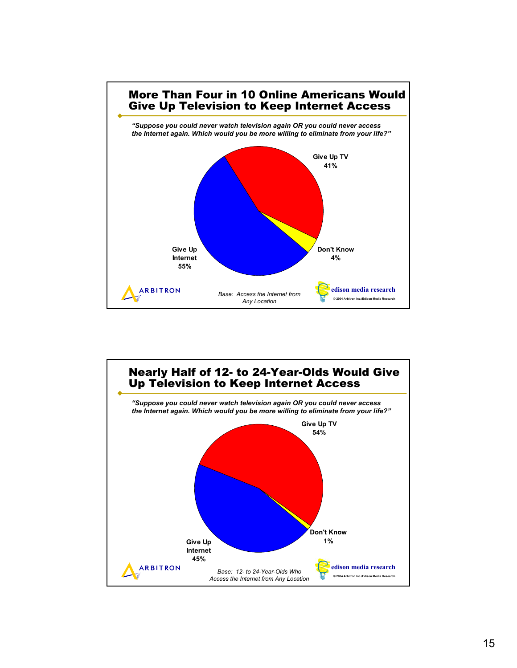

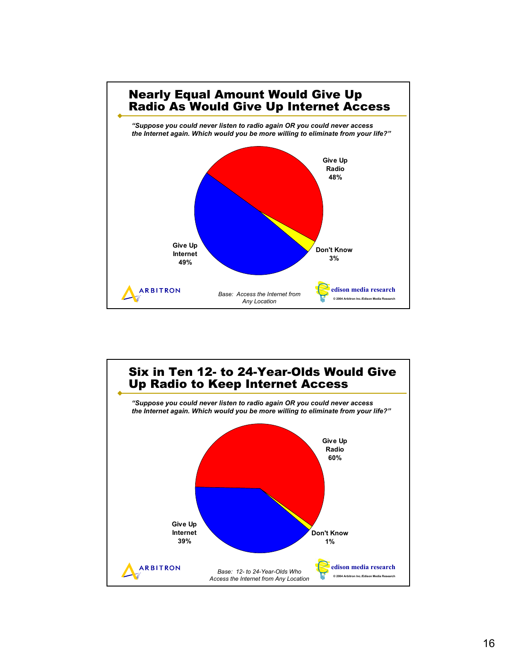

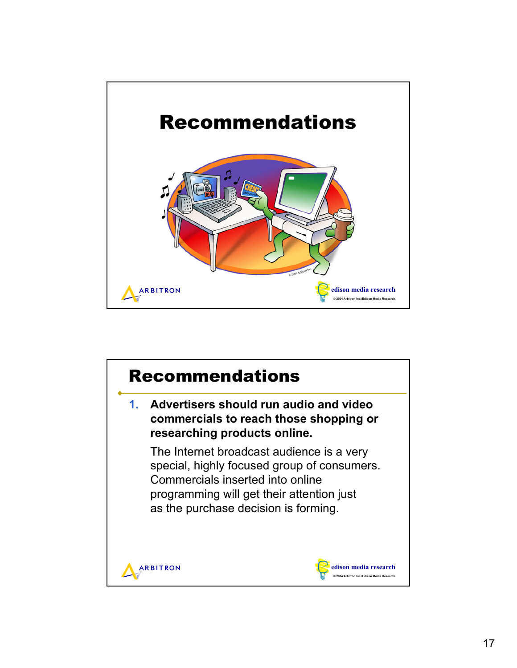

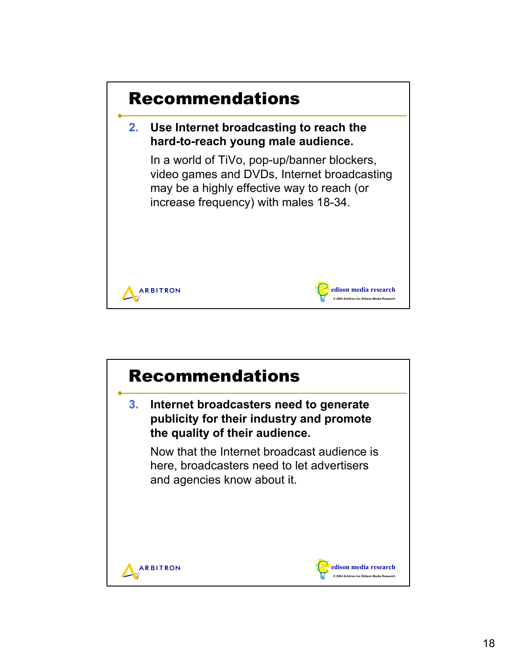

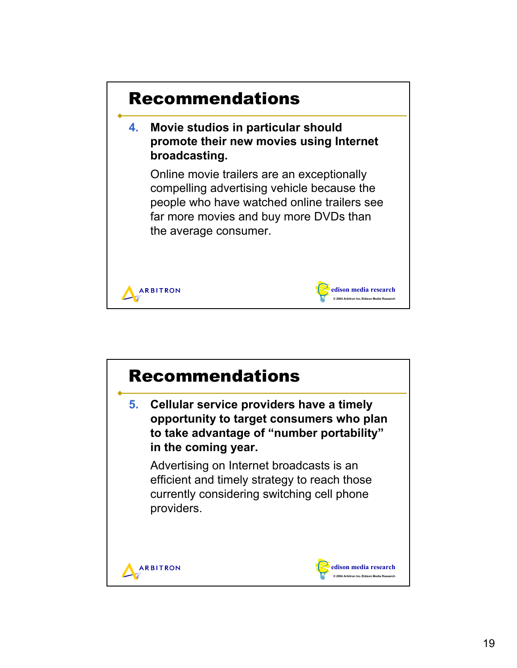

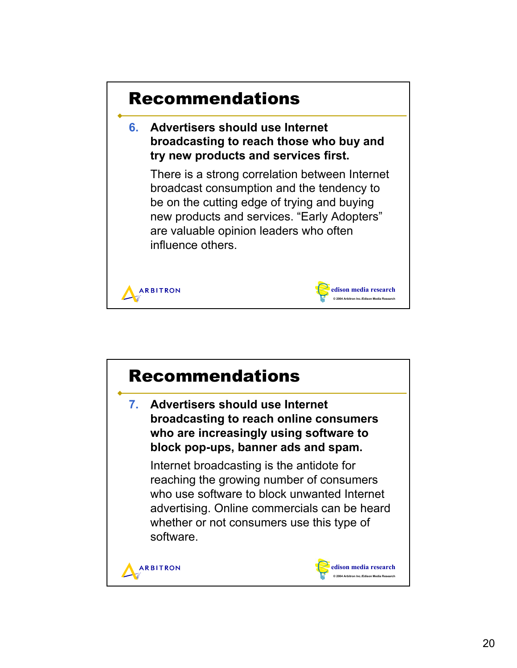